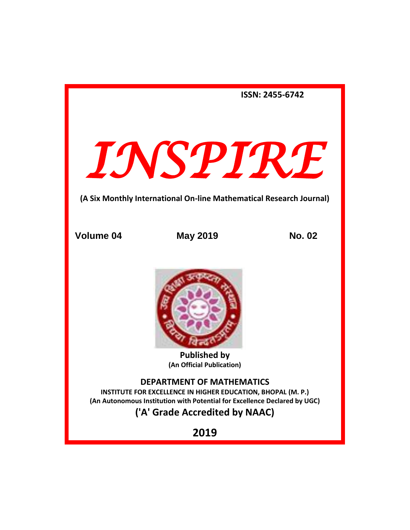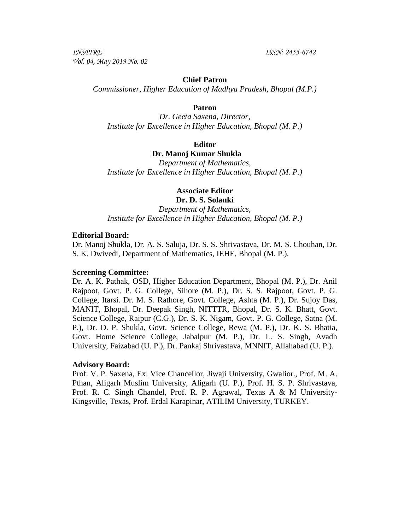*INSPIRE ISSN: 2455-6742 Vol. 04, May 2019 No. 02*

# **Chief Patron**

*Commissioner, Higher Education of Madhya Pradesh, Bhopal (M.P.)*

#### **Patron**

*Dr. Geeta Saxena, Director, Institute for Excellence in Higher Education, Bhopal (M. P.)*

# **Editor**

# **Dr. Manoj Kumar Shukla**

*Department of Mathematics, Institute for Excellence in Higher Education, Bhopal (M. P.)*

> **Associate Editor Dr. D. S. Solanki**

*Department of Mathematics, Institute for Excellence in Higher Education, Bhopal (M. P.)*

# **Editorial Board:**

Dr. Manoj Shukla, Dr. A. S. Saluja, Dr. S. S. Shrivastava, Dr. M. S. Chouhan, Dr. S. K. Dwivedi, Department of Mathematics, IEHE, Bhopal (M. P.).

#### **Screening Committee:**

Dr. A. K. Pathak, OSD, Higher Education Department, Bhopal (M. P.), Dr. Anil Rajpoot, Govt. P. G. College, Sihore (M. P.), Dr. S. S. Rajpoot, Govt. P. G. College, Itarsi. Dr. M. S. Rathore, Govt. College, Ashta (M. P.), Dr. Sujoy Das, MANIT, Bhopal, Dr. Deepak Singh, NITTTR, Bhopal, Dr. S. K. Bhatt, Govt. Science College, Raipur (C.G.), Dr. S. K. Nigam, Govt. P. G. College, Satna (M. P.), Dr. D. P. Shukla, Govt. Science College, Rewa (M. P.), Dr. K. S. Bhatia, Govt. Home Science College, Jabalpur (M. P.), Dr. L. S. Singh, Avadh University, Faizabad (U. P.), Dr. Pankaj Shrivastava, MNNIT, Allahabad (U. P.).

#### **Advisory Board:**

Prof. V. P. Saxena, Ex. Vice Chancellor, Jiwaji University, Gwalior., Prof. M. A. Pthan, Aligarh Muslim University, Aligarh (U. P.), Prof. H. S. P. Shrivastava, Prof. R. C. Singh Chandel, Prof. R. P. Agrawal, Texas A & M University-Kingsville, Texas, Prof. Erdal Karapinar, ATILIM University, TURKEY.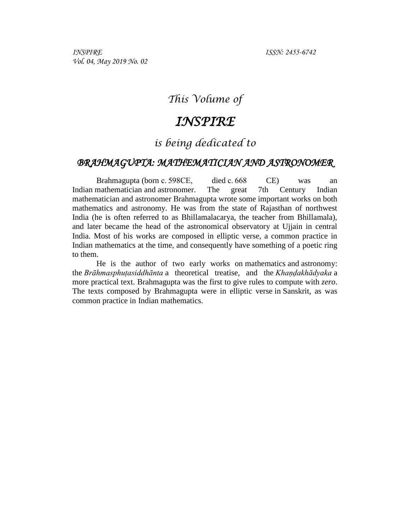*INSPIRE ISSN: 2455-6742 Vol. 04, May 2019 No. 02*

# *This Volume of*

# *INSPIRE*

# *is being dedicated to*

# *BRAHMAGUPTA: MATHEMATICIAN AND ASTRONOMER*

Brahmagupta (born c. 598CE, died c. 668 CE) was an Indian [mathematician](https://en.wikipedia.org/wiki/Indian_mathematics) and [astronomer.](https://en.wikipedia.org/wiki/Indian_astronomy) The great 7th Century Indian mathematician and astronomer Brahmagupta wrote some important works on both mathematics and astronomy. He was from the state of Rajasthan of northwest India (he is often referred to as Bhillamalacarya, the teacher from Bhillamala), and later became the head of the astronomical observatory at Ujjain in central India. Most of his works are composed in elliptic verse, a common practice in Indian mathematics at the time, and consequently have something of a poetic ring to them.

He is the author of two early works on [mathematics](https://en.wikipedia.org/wiki/Mathematics) and [astronomy:](https://en.wikipedia.org/wiki/Astronomy) the *[Brāhmasphuṭasiddhānta](https://en.wikipedia.org/wiki/Br%C4%81hmasphu%E1%B9%ADasiddh%C4%81nta)* a theoretical treatise, and the *[Khaṇḍakhādyaka](https://en.wikipedia.org/wiki/Kha%E1%B9%87%E1%B8%8Dakh%C4%81dyaka)* a more practical text. Brahmagupta was the first to give rules to compute with *[zero](https://en.wikipedia.org/wiki/Zero)*. The texts composed by Brahmagupta were in elliptic verse in [Sanskrit,](https://en.wikipedia.org/wiki/Sanskrit) as was common practice in [Indian mathematics.](https://en.wikipedia.org/wiki/Indian_mathematics)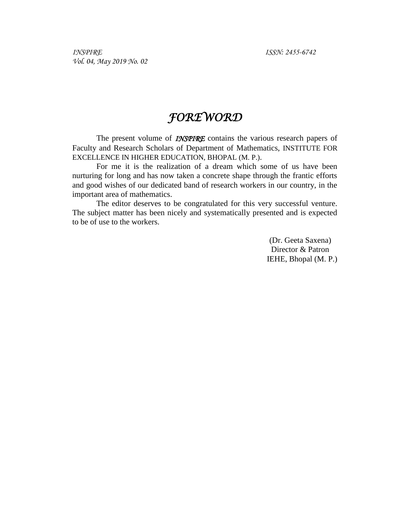*INSPIRE ISSN: 2455-6742 Vol. 04, May 2019 No. 02*

# *FOREWORD*

The present volume of *INSPIRE* contains the various research papers of Faculty and Research Scholars of Department of Mathematics, INSTITUTE FOR EXCELLENCE IN HIGHER EDUCATION, BHOPAL (M. P.).

For me it is the realization of a dream which some of us have been nurturing for long and has now taken a concrete shape through the frantic efforts and good wishes of our dedicated band of research workers in our country, in the important area of mathematics.

The editor deserves to be congratulated for this very successful venture. The subject matter has been nicely and systematically presented and is expected to be of use to the workers.

> (Dr. Geeta Saxena) Director & Patron IEHE, Bhopal (M. P.)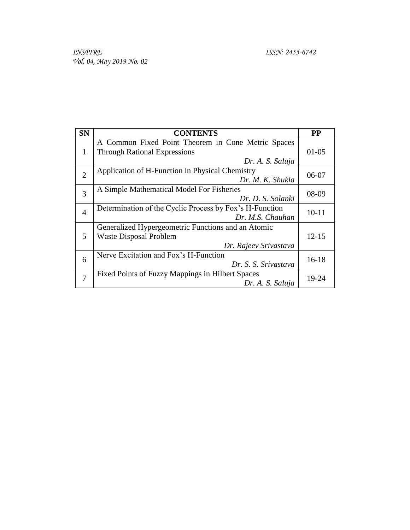| <b>SN</b>      | <b>CONTENTS</b>                                         | <b>PP</b> |
|----------------|---------------------------------------------------------|-----------|
|                | A Common Fixed Point Theorem in Cone Metric Spaces      |           |
| 1              | <b>Through Rational Expressions</b>                     | $01-05$   |
|                | Dr. A. S. Saluja                                        |           |
| $\overline{2}$ | Application of H-Function in Physical Chemistry         | 06-07     |
|                | Dr. M. K. Shukla                                        |           |
| 3              | A Simple Mathematical Model For Fisheries               | 08-09     |
|                | Dr. D. S. Solanki                                       |           |
| $\overline{4}$ | Determination of the Cyclic Process by Fox's H-Function | $10 - 11$ |
|                | Dr. M.S. Chauhan                                        |           |
| 5              | Generalized Hypergeometric Functions and an Atomic      |           |
|                | <b>Waste Disposal Problem</b>                           | $12 - 15$ |
|                | Dr. Rajeev Srivastava                                   |           |
| 6              | Nerve Excitation and Fox's H-Function                   | $16-18$   |
|                | Dr. S. S. Srivastava                                    |           |
| $\overline{7}$ | Fixed Points of Fuzzy Mappings in Hilbert Spaces        | 19-24     |
|                | Dr. A. S. Saluja                                        |           |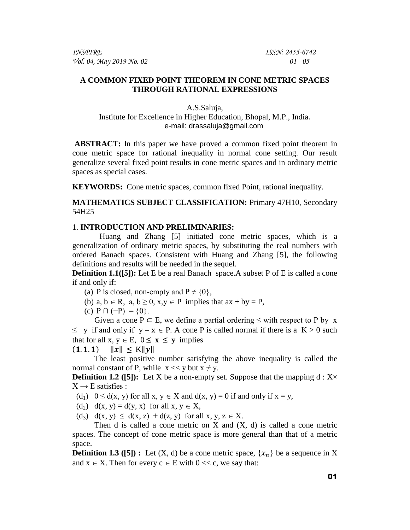# **A COMMON FIXED POINT THEOREM IN CONE METRIC SPACES THROUGH RATIONAL EXPRESSIONS**

A.S.Saluja, Institute for Excellence in Higher Education, Bhopal, M.P., India. e-mail: drassaluja@gmail.com

**ABSTRACT:** In this paper we have proved a common fixed point theorem in cone metric space for rational inequality in normal cone setting. Our result generalize several fixed point results in cone metric spaces and in ordinary metric spaces as special cases.

**KEYWORDS:** Cone metric spaces, common fixed Point, rational inequality.

**MATHEMATICS SUBJECT CLASSIFICATION:** Primary 47H10, Secondary 54H25

# 1. **INTRODUCTION AND PRELIMINARIES:**

Huang and Zhang [5] initiated cone metric spaces, which is a generalization of ordinary metric spaces, by substituting the real numbers with ordered Banach spaces. Consistent with Huang and Zhang [5], the following definitions and results will be needed in the sequel.

**Definition 1.1([5]):** Let E be a real Banach space.A subset P of E is called a cone if and only if:

(a) P is closed, non-empty and  $P \neq \{0\}$ ,

- (b) a,  $b \in R$ , a,  $b \ge 0$ ,  $x,y \in P$  implies that  $ax + by = P$ ,
- (c)  $P \cap (-P) = \{0\}$ .

Given a cone  $P \subset E$ , we define a partial ordering  $\leq$  with respect to P by x  $\leq y$  if and only if  $y - x \in P$ . A cone P is called normal if there is a  $K > 0$  such that for all  $x, y \in E$ ,  $0 \le x \le y$  implies

 $(1.1.1)$   $||x|| \le K||y||$ 

The least positive number satisfying the above inequality is called the normal constant of P, while  $x \ll y$  but  $x \neq y$ .

**Definition 1.2** ([5]): Let X be a non-empty set. Suppose that the mapping  $d : X \times$  $X \rightarrow E$  satisfies :

(d<sub>1</sub>)  $0 \le d(x, y)$  for all  $x, y \in X$  and  $d(x, y) = 0$  if and only if  $x = y$ ,

(d<sub>2</sub>)  $d(x, y) = d(y, x)$  for all  $x, y \in X$ ,

(d<sub>3</sub>)  $d(x, y) \leq d(x, z) + d(z, y)$  for all  $x, y, z \in X$ .

Then d is called a cone metric on  $X$  and  $(X, d)$  is called a cone metric spaces. The concept of cone metric space is more general than that of a metric space.

**Definition 1.3 ([5]) <b>:** Let  $(X, d)$  be a cone metric space,  $\{x_n\}$  be a sequence in X and  $x \in X$ . Then for every  $c \in E$  with  $0 \ll c$ , we say that: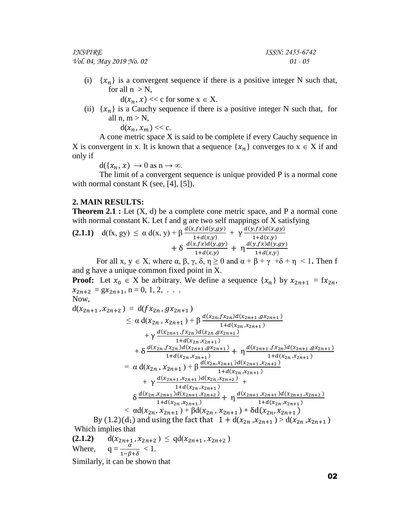*INSPIRE ISSN: 2455-6742 Vol. 04, May 2019 No. 02 01 - 05*

(i)  $\{x_n\}$  is a convergent sequence if there is a positive integer N such that, for all  $n > N$ ,

 $d(x_n, x) \ll c$  for some  $x \in X$ .

(ii)  $\{x_n\}$  is a Cauchy sequence if there is a positive integer N such that, for all  $n, m > N$ ,

 $d(x_n, x_m) \ll c$ .

A cone metric space X is said to be complete if every Cauchy sequence in X is convergent in x. It is known that a sequence  $\{x_n\}$  converges to  $x \in X$  if and only if

 $d({x_n}, x) \rightarrow 0$  as  $n \rightarrow \infty$ .

The limit of a convergent sequence is unique provided P is a normal cone with normal constant K (see,  $[4]$ ,  $[5]$ ).

# **2. MAIN RESULTS:**

**Theorem 2.1 :** Let  $(X, d)$  be a complete cone metric space, and P a normal cone with normal constant K. Let f and g are two self mappings of X satisfying

(2.1.1) 
$$
d(fx, gy) \leq \alpha d(x, y) + \beta \frac{d(x, f x) d(y, gy)}{1 + d(x, y)} + \gamma \frac{d(y, f x) d(x, gy)}{1 + d(x, y)} + \delta \frac{d(x, f x) d(y, gy)}{1 + d(x, y)} + \eta \frac{d(y, f x) d(y, gy)}{1 + d(x, y)}
$$

For all x,  $y \in X$ , where  $\alpha$ ,  $\beta$ ,  $\gamma$ ,  $\delta$ ,  $\eta \ge 0$  and  $\alpha + \beta + \gamma + \delta + \eta \le 1$ . Then f and g have a unique common fixed point in X.

**Proof:** Let  $x_0 \in X$  be arbitrary. We define a sequence  $\{x_n\}$  by  $x_{2n+1} = fx_{2n}$ ,  $x_{2n+2} = gx_{2n+1}, n = 0, 1, 2, \ldots$ 

Now,

$$
d(x_{2n+1}, x_{2n+2}) = d(fx_{2n}, gx_{2n+1})
$$
  
\n
$$
\leq \alpha d(x_{2n}, x_{2n+1}) + \beta \frac{d(x_{2n}, fx_{2n})d(x_{2n+1}, gx_{2n+1})}{1 + d(x_{2n}, x_{2n+1})}
$$
  
\n
$$
+ \gamma \frac{d(x_{2n+1}, fx_{2n})d(x_{2n}, gx_{2n+1})}{1 + d(x_{2n}, x_{2n+1})}
$$
  
\n
$$
+ \delta \frac{d(x_{2n}, fx_{2n})d(x_{2n+1}, gx_{2n+1})}{1 + d(x_{2n}, x_{2n+1})} + \eta \frac{d(x_{2n+1}, fx_{2n})d(x_{2n+1}, gx_{2n+1})}{1 + d(x_{2n}, x_{2n+1})}
$$
  
\n
$$
= \alpha d(x_{2n}, x_{2n+1}) + \beta \frac{d(x_{2n}, x_{2n+1})d(x_{2n+1}, x_{2n+2})}{1 + d(x_{2n}, x_{2n+1})}
$$
  
\n
$$
+ \gamma \frac{d(x_{2n+1}, x_{2n+1})d(x_{2n}, x_{2n+2})}{1 + d(x_{2n}, x_{2n+1})} + \eta \frac{d(x_{2n+1}, x_{2n+1})d(x_{2n+1}, x_{2n+2})}{1 + d(x_{2n}, x_{2n+1})}
$$
  
\n
$$
\delta \frac{d(x_{2n}, x_{2n+1})d(x_{2n+1}, x_{2n+2})}{1 + d(x_{2n}, x_{2n+1})} + \eta \frac{d(x_{2n+1}, x_{2n+1})d(x_{2n+1}, x_{2n+2})}{1 + d(x_{2n}, x_{2n+1})}
$$
  
\nBy (1.2)(d<sub>1</sub>) and using the fact that 1 + d(x<sub>2n</sub>, x<sub>2n+1</sub>) > d(x<sub>2n</sub>, x<sub>2n+1</sub>)

Which implies that

(2.1.2) 
$$
d(x_{2n+1}, x_{2n+2}) \leq qd(x_{2n+1}, x_{2n+2})
$$
  
Where,  $q = \frac{\alpha}{1-\beta+\delta} < 1$ .

Similarly, it can be shown that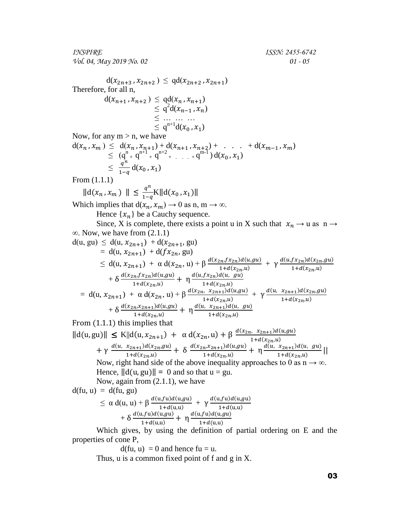*INSPIRE ISSN: 2455-6742 Vol. 04, May 2019 No. 02 01 - 05*

 $d(x_{2n+3}, x_{2n+2}) \leq qd(x_{2n+2}, x_{2n+1})$ Therefore, for all n,

$$
d(x_{n+1}, x_{n+2}) \leq qd(x_n, x_{n+1})
$$
  
\n
$$
\leq q^2d(x_{n-1}, x_n)
$$
  
\n
$$
\leq \dots \dots \dots
$$
  
\n
$$
\leq q^{n+1}d(x_0, x_1)
$$

Now, for any  $m > n$ , we have

$$
d(x_n, x_m) \leq d(x_n, x_{n+1}) + d(x_{n+1}, x_{n+2}) + \dots + d(x_{m-1}, x_m)
$$
  
\n
$$
\leq (q^n + q^{n+1} + q^{n+2} + \dots + q^{m-1}) d(x_0, x_1)
$$
  
\n
$$
\leq \frac{q^n}{1-q} d(x_0, x_1)
$$

From (1.1.1)

$$
\|d(x_n, x_m) \| \leq \frac{q^n}{1-q} K \|d(x_0, x_1)\|
$$

Which implies that  $d(x_n, x_m) \to 0$  as n, m  $\to \infty$ .

Hence  $\{x_n\}$  be a Cauchy sequence.

Since, X is complete, there exists a point u in X such that  $x_n \to u$  as  $n \to \infty$  $\infty$ . Now, we have from (2.1.1)

$$
d(u, gu) \leq d(u, x_{2n+1}) + d(x_{2n+1}, gu)
$$
  
\n
$$
= d(u, x_{2n+1}) + d(fx_{2n}, gu)
$$
  
\n
$$
\leq d(u, x_{2n+1}) + \alpha d(x_{2n}, u) + \beta \frac{d(x_{2n}, f x_{2n}) d(u, gu)}{1 + d(x_{2n}, u)} + \gamma \frac{d(u, f x_{2n}) d(x_{2n}, gu)}{1 + d(x_{2n}, u)}
$$
  
\n
$$
+ \delta \frac{d(x_{2n}, f x_{2n}) d(u, gu)}{1 + d(x_{2n}, u)} + \eta \frac{d(u, f x_{2n}) d(u, gu)}{1 + d(x_{2n}, u)}
$$
  
\n
$$
= d(u, x_{2n+1}) + \alpha d(x_{2n}, u) + \beta \frac{d(x_{2n}, x_{2n+1}) d(u, gu)}{1 + d(x_{2n}, u)} + \gamma \frac{d(u, x_{2n+1}) d(x_{2n}, gu)}{1 + d(x_{2n}, u)}
$$
  
\n
$$
+ \delta \frac{d(x_{2n}, x_{2n+1}) d(u, gu)}{1 + d(x_{2n}, u)} + \eta \frac{d(u, x_{2n+1}) d(u, gu)}{1 + d(x_{2n}, u)}
$$

From (1.1.1) this implies that

$$
||d(u, gu)|| \le K||d(u, x_{2n+1}) + \alpha d(x_{2n}, u) + \beta \frac{d(x_{2n}, x_{2n+1})d(u, gu)}{1 + d(x_{2n}, u)}
$$
  
+  $\gamma \frac{d(u, x_{2n+1})d(x_{2n}, gu)}{1 + d(x_{2n}, u)} + \delta \frac{d(x_{2n}, x_{2n+1})d(u, gu)}{1 + d(x_{2n}, u)} + \eta \frac{d(u, x_{2n+1})d(u, gu)}{1 + d(x_{2n}, u)}$  ||  
Now, right hand side of the above inequality approaches to 0 as  $n \to \infty$ .  
Hence,  $||d(u, gu)|| = 0$  and so that  $u = gu$ .  
Now, again from (2.1.1), we have  
 $d(tu, u) = d(tu, gu)$   
 $\le \alpha d(u, u) + \beta \frac{d(u, fu)d(u, gu)}{1 + d(u, u)} + \gamma \frac{d(u, fu)d(u, gu)}{1 + d(u, u)}$ 

$$
+ \delta \frac{d(u, du)}{1 + d(u, u)} + \eta \frac{d(u, du)}{1 + d(u, u)}
$$

Which gives, by using the definition of partial ordering on E and the properties of cone P,

$$
d(fu, u) = 0 \text{ and hence } fu = u.
$$

Thus, u is a common fixed point of f and g in X.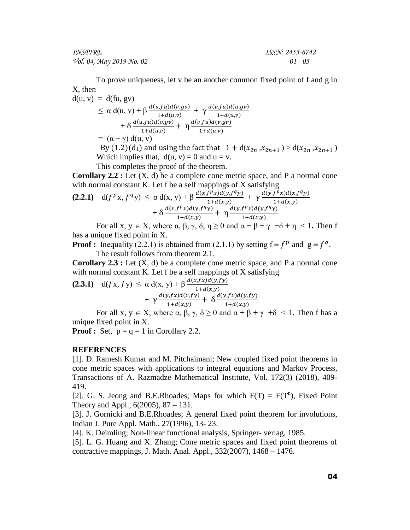*INSPIRE ISSN: 2455-6742 Vol. 04, May 2019 No. 02 01 - 05*

$$
ISSN: 2455-674201 - 05
$$

To prove uniqueness, let v be an another common fixed point of f and g in X, then

$$
d(u, v) = d(fu, gv)
$$
  
\n
$$
\leq \alpha d(u, v) + \beta \frac{d(u, fu)d(v, gv)}{1 + d(u, v)} + \gamma \frac{d(v, fu)d(u, gv)}{1 + d(u, v)}
$$
  
\n
$$
+ \delta \frac{d(u, fu)d(v, gv)}{1 + d(u, v)} + \eta \frac{d(v, fu)d(v, gv)}{1 + d(u, v)}
$$
  
\n
$$
= (\alpha + \gamma) d(u, v)
$$
  
\nBy (1.2)(d<sub>1</sub>) and using the fact that  $1 + d(x_{2n}, x_{2n+1}) > d(x_{2n}, x_{2n+1})$   
\nWhich implies that,  $d(u, v) = 0$  and  $u = v$ .  
\nThis completes the proof of the theorem.

**Corollary 2.2 :** Let (X, d) be a complete cone metric space, and P a normal cone with normal constant K. Let f be a self mappings of X satisfying

$$
(2.2.1) d(f^{p}x, f^{q}y) \leq \alpha d(x, y) + \beta \frac{d(x, f^{p}x)d(y, f^{q}y)}{1 + d(x,y)} + \gamma \frac{d(y, f^{p}x)d(x, f^{q}y)}{1 + d(x,y)} + \delta \frac{d(x, f^{p}x)d(y, f^{q}y)}{1 + d(x,y)} + \eta \frac{d(y, f^{p}x)d(y, f^{q}y)}{1 + d(x,y)}
$$

For all x,  $y \in X$ , where  $\alpha$ ,  $\beta$ ,  $\gamma$ ,  $\delta$ ,  $\eta \ge 0$  and  $\alpha + \beta + \gamma + \delta + \eta \le 1$ . Then f has a unique fixed point in X.

**Proof :** Inequality (2.2.1) is obtained from (2.1.1) by setting  $f \equiv f^p$  and  $g \equiv f^q$ . The result follows from theorem 2.1.

**Corollary 2.3 :** Let  $(X, d)$  be a complete cone metric space, and P a normal cone with normal constant K. Let f be a self mappings of X satisfying

(2.3.1) 
$$
d(fx, fy) \leq \alpha d(x, y) + \beta \frac{d(x, f x) d(y, fy)}{1 + d(x, y)} + \gamma \frac{d(y, f x) d(x, fy)}{1 + d(x, y)} + \delta \frac{d(y, f x) d(y, fy)}{1 + d(x, y)}
$$
  
For all  $x, y \in X$  where  $\alpha, \beta, \gamma, \delta > 0$  and  $\alpha + \beta + \beta$ 

For all x,  $y \in X$ , where  $\alpha$ ,  $\beta$ ,  $\gamma$ ,  $\delta \ge 0$  and  $\alpha + \beta + \gamma + \delta < 1$ . Then f has a unique fixed point in X.

**Proof :** Set,  $p = q = 1$  in Corollary 2.2.

### **REFERENCES**

[1]. D. Ramesh Kumar and M. Pitchaimani; New coupled fixed point theorems in cone metric spaces with applications to integral equations and Markov Process, Transactions of A. Razmadze Mathematical Institute, Vol. 172(3) (2018), 409- 419.

[2]. G. S. Jeong and B.E.Rhoades; Maps for which  $F(T) = F(T^n)$ , Fixed Point Theory and Appl., 6(2005), 87 – 131.

[3]. J. Gornicki and B.E.Rhoades; A general fixed point theorem for involutions, Indian J. Pure Appl. Math., 27(1996), 13- 23.

[4]. K. Deimling; Non-linear functional analysis, Springer- verlag, 1985.

[5]. L. G. Huang and X. Zhang; Cone metric spaces and fixed point theorems of contractive mappings, J. Math. Anal. Appl., 332(2007), 1468 – 1476.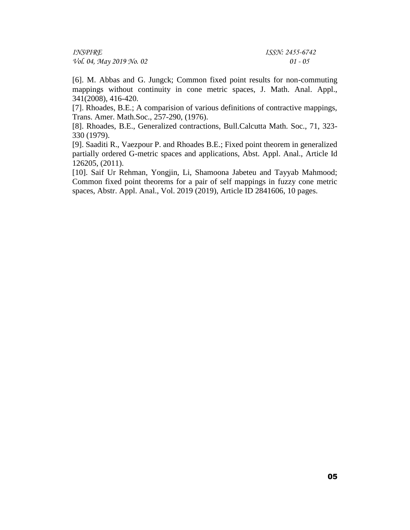| INSPIRE                         | ISSN: 2455-6742 |
|---------------------------------|-----------------|
| <i>Vol.</i> 04, May 2019 No. 02 | $01 - 05$       |

[6]. M. Abbas and G. Jungck; Common fixed point results for non-commuting mappings without continuity in cone metric spaces, J. Math. Anal. Appl., 341(2008), 416-420.

[7]. Rhoades, B.E.; A comparision of various definitions of contractive mappings, Trans. Amer. Math.Soc., 257-290, (1976).

[8]. Rhoades, B.E., Generalized contractions, Bull.Calcutta Math. Soc., 71, 323- 330 (1979).

[9]. Saaditi R., Vaezpour P. and Rhoades B.E.; Fixed point theorem in generalized partially ordered G-metric spaces and applications, Abst. Appl. Anal., Article Id 126205, (2011).

[10]. Saif Ur Rehman, Yongjin, Li, Shamoona Jabeteu and Tayyab Mahmood; Common fixed point theorems for a pair of self mappings in fuzzy cone metric spaces, Abstr. Appl. Anal., Vol. 2019 (2019), Article ID 2841606, 10 pages.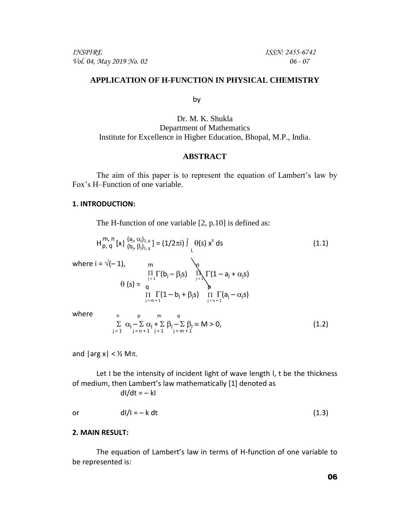*INSPIRE ISSN: 2455-6742 Vol. 04, May 2019 No. 02 06 - 07*

#### **APPLICATION OF H-FUNCTION IN PHYSICAL CHEMISTRY**

by

Dr. M. K. Shukla Department of Mathematics Institute for Excellence in Higher Education, Bhopal, M.P., India.

# **ABSTRACT**

The aim of this paper is to represent the equation of Lambert's law by Fox's H–Function of one variable.

#### **1. INTRODUCTION:**

The H-function of one variable [2, p.10] is defined as:

$$
H_{p, q}^{m, n}[x] \begin{cases} (a_{j}, \alpha_{j})_{1, p} \\ (b_{j}, \beta_{j})_{1, q} \end{cases} = (1/2\pi i) \int_{L} \theta(s) x^{s} ds
$$
 (1.1)

where 
$$
i = \sqrt{(-1)}
$$
,  
\n
$$
\begin{array}{ccc}\n& \text{m} \\
& \prod_{j=1}^{n} \Gamma(b_j - \beta_j s) & \prod_{j=1}^{n} \Gamma(1 - a_j + \alpha_j s) \\
& \text{m} \\
& \prod_{j=m+1}^{n} \Gamma(1 - b_j + \beta_j s) & \prod_{j=n+1}^{n} \Gamma(a_j - \alpha_j s)\n\end{array}
$$

where

$$
\sum_{j=1}^{n} \alpha_j - \sum_{j=n+1}^{p} \alpha_j + \sum_{j=1}^{m} \beta_j - \sum_{j=m+1}^{q} \beta_j \equiv M > 0,
$$
\n(1.2)

and  $\left|\arg x\right| < \frac{1}{2}$  M $\pi$ .

Let I be the intensity of incident light of wave length I, t be the thickness of medium, then Lambert's law mathematically [1] denoted as

 $dl/dt = - kl$ 

or  $dl/l = -k dt$  (1.3)

# **2. MAIN RESULT:**

The equation of Lambert's law in terms of H-function of one variable to be represented is:

06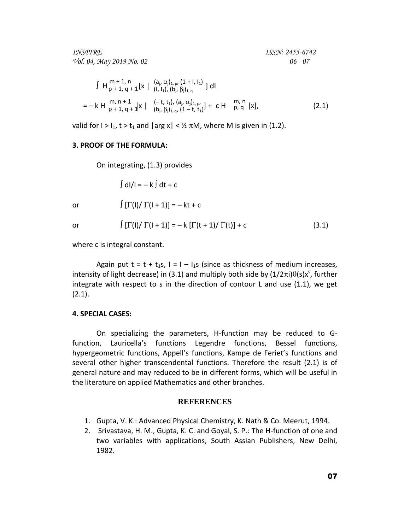*INSPIRE ISSN: 2455-6742 Vol. 04, May 2019 No. 02 06 - 07*

$$
\int H_{p+1, q+1}^{m+1, n} [x \mid \begin{array}{c} (a_j, \alpha_j)_{1, p}, (1+l, l_1) \\ (l, l_1), (b_j, \beta_j)_{1, q} \end{array}] dl
$$
  
= - k H  $\underset{p+1, q+1}{m, n+1} [x \mid \begin{array}{c} (-t, t_1), (a_j, \alpha_j)_{1, p}, \\ (b_j, \beta_j)_{1, q}, (1-t, t_1) \end{array}] + c H$   $\underset{p, q}{m, n} [x],$  (2.1)

valid for  $1 > 1<sub>1</sub>$ ,  $t > t<sub>1</sub>$  and  $|\arg x| < 1$   $\pi$ M, where M is given in (1.2).

# **3. PROOF OF THE FORMULA:**

On integrating, (1.3) provides

 $\int dl/I = -k \int dt + c$ 

or  $\int [\Gamma(1)/\Gamma(1 + 1)] = -kt + c$ 

or 
$$
\int [\Gamma(\mathsf{I})/\Gamma(\mathsf{I}+1)] = -k [\Gamma(\mathsf{t}+1)/\Gamma(\mathsf{t})] + c
$$
 (3.1)

where c is integral constant.

Again put  $t = t + t_1s$ ,  $l = l - l_1s$  (since as thickness of medium increases, intensity of light decrease) in (3.1) and multiply both side by  $(1/2\pi i)\theta(s)x^s$ , further integrate with respect to s in the direction of contour L and use (1.1), we get  $(2.1).$ 

#### **4. SPECIAL CASES:**

On specializing the parameters, H-function may be reduced to Gfunction, Lauricella's functions Legendre functions, Bessel functions, hypergeometric functions, Appell's functions, Kampe de Feriet's functions and several other higher transcendental functions. Therefore the result (2.1) is of general nature and may reduced to be in different forms, which will be useful in the literature on applied Mathematics and other branches.

# **REFERENCES**

- 1. Gupta, V. K.: Advanced Physical Chemistry, K. Nath & Co. Meerut, 1994.
- 2. Srivastava, H. M., Gupta, K. C. and Goyal, S. P.: The H-function of one and two variables with applications, South Assian Publishers, New Delhi, 1982.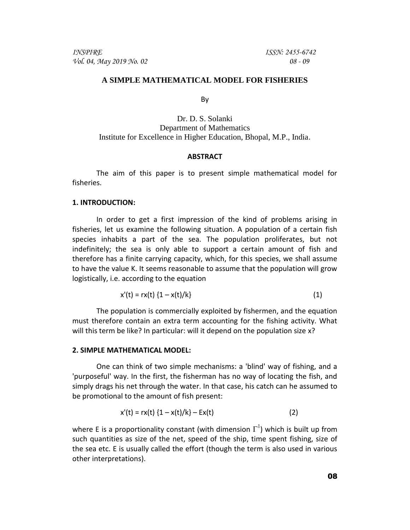*INSPIRE ISSN: 2455-6742 Vol. 04, May 2019 No. 02 08 - 09*

#### **A SIMPLE MATHEMATICAL MODEL FOR FISHERIES**

By

Dr. D. S. Solanki Department of Mathematics Institute for Excellence in Higher Education, Bhopal, M.P., India.

#### **ABSTRACT**

The aim of this paper is to present simple mathematical model for fisheries.

#### **1. INTRODUCTION:**

In order to get a first impression of the kind of problems arising in fisheries, let us examine the following situation. A population of a certain fish species inhabits a part of the sea. The population proliferates, but not indefinitely; the sea is only able to support a certain amount of fish and therefore has a finite carrying capacity, which, for this species, we shall assume to have the value K. It seems reasonable to assume that the population will grow logistically, i.e. according to the equation

$$
x'(t) = rx(t) \{1 - x(t)/k\}
$$
 (1)

The population is commercially exploited by fishermen, and the equation must therefore contain an extra term accounting for the fishing activity. What will this term be like? In particular: will it depend on the population size x?

#### **2. SIMPLE MATHEMATICAL MODEL:**

One can think of two simple mechanisms: a 'blind' way of fishing, and a 'purposeful' way. In the first, the fisherman has no way of locating the fish, and simply drags his net through the water. In that case, his catch can he assumed to be promotional to the amount of fish present:

$$
x'(t) = rx(t) \{1 - x(t)/k\} - Ex(t)
$$
 (2)

where E is a proportionality constant (with dimension  $\Gamma^1$ ) which is built up from such quantities as size of the net, speed of the ship, time spent fishing, size of the sea etc. E is usually called the effort (though the term is also used in various other interpretations).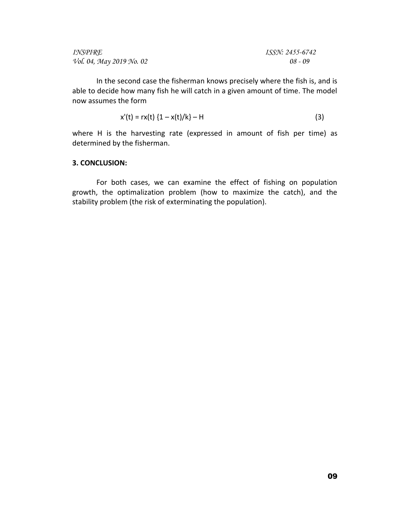| INSPIRE                         | ISSN: 2455-6742 |
|---------------------------------|-----------------|
| <i>Vol.</i> 04, May 2019 No. 02 | $08 - 09$       |

In the second case the fisherman knows precisely where the fish is, and is able to decide how many fish he will catch in a given amount of time. The model now assumes the form

$$
x'(t) = rx(t) \{1 - x(t)/k\} - H
$$
 (3)

where H is the harvesting rate (expressed in amount of fish per time) as determined by the fisherman.

# **3. CONCLUSION:**

For both cases, we can examine the effect of fishing on population growth, the optimalization problem (how to maximize the catch), and the stability problem (the risk of exterminating the population).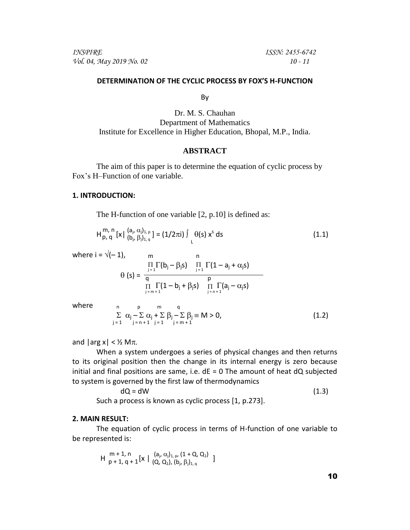*INSPIRE ISSN: 2455-6742 Vol. 04, May 2019 No. 02 10 - 11*

#### **DETERMINATION OF THE CYCLIC PROCESS BY FOX'S H-FUNCTION**

#### By

Dr. M. S. Chauhan Department of Mathematics Institute for Excellence in Higher Education, Bhopal, M.P., India.

# **ABSTRACT**

The aim of this paper is to determine the equation of cyclic process by Fox's H–Function of one variable.

# **1. INTRODUCTION:**

The H-function of one variable [2, p.10] is defined as:

$$
H_{p, q}^{m, n}[x]_{(b_j, \beta_j)_{1, q}}^{(a_j, \alpha_j)_{1, p}}] = (1/2\pi i) \int_{L} \theta(s) x^s ds
$$
 (1.1)

where  $i = \sqrt{(-1)}$ , m

$$
\theta \text{ (s)} = \frac{\prod\limits_{j=1}^{n} \Gamma(b_j - \beta_j s) - \prod\limits_{j=1}^{n} \Gamma(1 - a_j + \alpha_j s)}{\prod\limits_{j=m+1}^{n} \Gamma(1 - b_j + \beta_j s) - \prod\limits_{j=n+1}^{p} \Gamma(a_j - \alpha_j s)}
$$

n

where

$$
\sum_{j=1}^{n} \alpha_j - \sum_{j=n+1}^{p} \alpha_j + \sum_{j=1}^{m} \beta_j - \sum_{j=m+1}^{q} \beta_j \equiv M > 0,
$$
\n(1.2)

and  $\left|\arg x\right| < \frac{1}{2}$  M $\pi$ .

When a system undergoes a series of physical changes and then returns to its original position then the change in its internal energy is zero because initial and final positions are same, i.e.  $dE = 0$  The amount of heat  $dQ$  subjected to system is governed by the first law of thermodynamics

$$
dQ = dW \tag{1.3}
$$

Such a process is known as cyclic process [1, p.273].

# **2. MAIN RESULT:**

The equation of cyclic process in terms of H-function of one variable to be represented is:

$$
H \begin{array}{l} m+1, n \\ p+1, q+1 \end{array} \begin{bmatrix} a_j, \alpha_j)_{1, p}, (1+Q, Q_1) \\ (Q, Q_1), (b_j, \beta_j)_{1, q} \end{bmatrix}
$$

10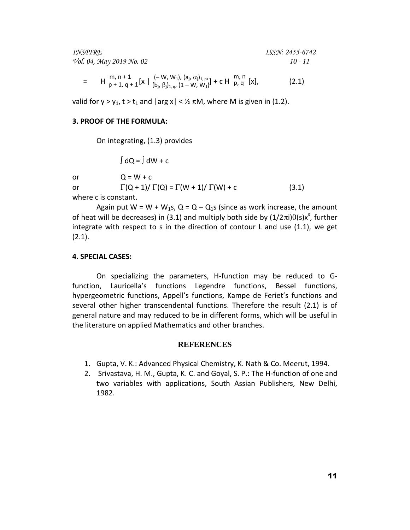| INSPIRE                                                                                                                              | <i>ISSN: 2455-6742</i> |
|--------------------------------------------------------------------------------------------------------------------------------------|------------------------|
| Vol. 04, May 2019 No. 02                                                                                                             | 10 - 11                |
| $H_{p+1, q+1}^{m, n+1}[x \mid \frac{(-W, W_1), (a_i, \alpha_j)_{1, p'}}{(b_i, \beta_j)_{1, q}}, (1-W, W_1)] + C H_{p, q}^{m, n}[x],$ | (2.1)                  |

valid for  $y > y_1$ ,  $t > t_1$  and  $|\arg x| < \frac{1}{2} \pi M$ , where M is given in (1.2).

# **3. PROOF OF THE FORMULA:**

On integrating, (1.3) provides

 $\int dQ = \int dW + c$ 

or  $Q = W + c$ or  $\Gamma(Q + 1)/\Gamma(Q) = \Gamma(W + 1)/\Gamma(W) + c$  (3.1) where c is constant.

Again put W = W + W<sub>1</sub>s, Q = Q – Q<sub>1</sub>s (since as work increase, the amount of heat will be decreases) in (3.1) and multiply both side by  $(1/2\pi i)\theta(s)x^s$ , further integrate with respect to s in the direction of contour L and use (1.1), we get (2.1).

# **4. SPECIAL CASES:**

On specializing the parameters, H-function may be reduced to Gfunction, Lauricella's functions Legendre functions, Bessel functions, hypergeometric functions, Appell's functions, Kampe de Feriet's functions and several other higher transcendental functions. Therefore the result (2.1) is of general nature and may reduced to be in different forms, which will be useful in the literature on applied Mathematics and other branches.

# **REFERENCES**

- 1. Gupta, V. K.: Advanced Physical Chemistry, K. Nath & Co. Meerut, 1994.
- 2. Srivastava, H. M., Gupta, K. C. and Goyal, S. P.: The H-function of one and two variables with applications, South Assian Publishers, New Delhi, 1982.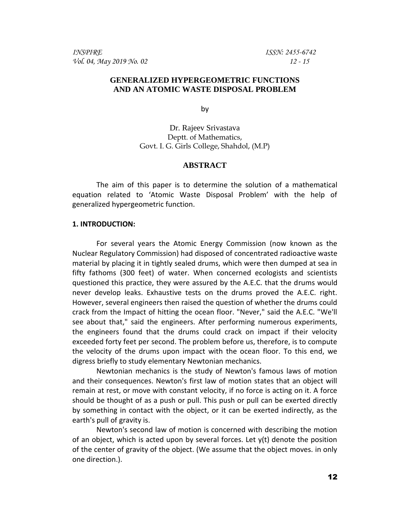*INSPIRE ISSN: 2455-6742 Vol. 04, May 2019 No. 02 12 - 15*

# **GENERALIZED HYPERGEOMETRIC FUNCTIONS AND AN ATOMIC WASTE DISPOSAL PROBLEM**

by

Dr. Rajeev Srivastava Deptt. of Mathematics, Govt. I. G. Girls College, Shahdol, (M.P)

# **ABSTRACT**

The aim of this paper is to determine the solution of a mathematical equation related to 'Atomic Waste Disposal Problem' with the help of generalized hypergeometric function.

#### **1. INTRODUCTION:**

For several years the Atomic Energy Commission (now known as the Nuclear Regulatory Commission) had disposed of concentrated radioactive waste material by placing it in tightly sealed drums, which were then dumped at sea in fifty fathoms (300 feet) of water. When concerned ecologists and scientists questioned this practice, they were assured by the A.E.C. that the drums would never develop leaks. Exhaustive tests on the drums proved the A.E.C. right. However, several engineers then raised the question of whether the drums could crack from the Impact of hitting the ocean floor. "Never," said the A.E.C. "We'll see about that," said the engineers. After performing numerous experiments, the engineers found that the drums could crack on impact if their velocity exceeded forty feet per second. The problem before us, therefore, is to compute the velocity of the drums upon impact with the ocean floor. To this end, we digress briefly to study elementary Newtonian mechanics.

Newtonian mechanics is the study of Newton's famous laws of motion and their consequences. Newton's first law of motion states that an object will remain at rest, or move with constant velocity, if no force is acting on it. A force should be thought of as a push or pull. This push or pull can be exerted directly by something in contact with the object, or it can be exerted indirectly, as the earth's pull of gravity is.

Newton's second law of motion is concerned with describing the motion of an object, which is acted upon by several forces. Let y(t) denote the position of the center of gravity of the object. (We assume that the object moves. in only one direction.).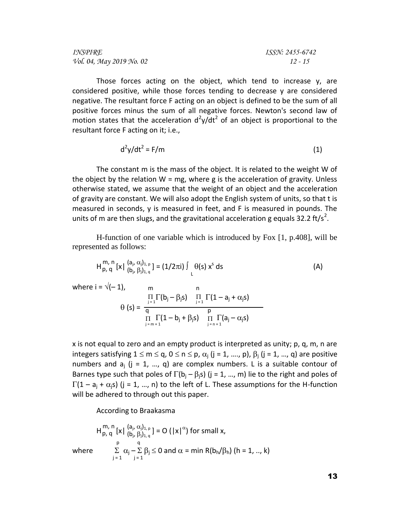| INSPIRE                  | ISSN: 2455-6742 |
|--------------------------|-----------------|
| Vol. 04, May 2019 No. 02 | 12 - 15         |

Those forces acting on the object, which tend to increase y, are considered positive, while those forces tending to decrease y are considered negative. The resultant force F acting on an object is defined to be the sum of all positive forces minus the sum of all negative forces. Newton's second law of motion states that the acceleration  $d^2y/dt^2$  of an object is proportional to the resultant force F acting on it; i.e.,

$$
d^2y/dt^2 = F/m
$$
 (1)

The constant m is the mass of the object. It is related to the weight W of the object by the relation  $W = mg$ , where g is the acceleration of gravity. Unless otherwise stated, we assume that the weight of an object and the acceleration of gravity are constant. We will also adopt the English system of units, so that t is measured in seconds, y is measured in feet, and F is measured in pounds. The units of m are then slugs, and the gravitational acceleration g equals 32.2 ft/s<sup>2</sup>.

H-function of one variable which is introduced by Fox [1, p.408], will be represented as follows:

$$
H_{p, q}^{m, n}[x]_{(b_j, \beta_j)_{1, q}}^{(a_j, \alpha_j)_{1, p}}] = (1/2\pi i) \int_{L} \theta(s) x^s ds
$$
 (A)

where  $i = \sqrt{(-1)}$ ,  $\prod_{i=1} \Gamma(b_i - \beta_j s)$   $\prod_{i=1} \Gamma(1 - a_j + \alpha_j s)$  $\theta$  (s) =  $\Pi \Gamma(1 - b_j + \beta_j s) \Pi \Gamma(a_j - \alpha_j s)$ m  $\prod_{j = 1}$ n  $\prod_{j = 1}$ q  $\prod\limits_{\mathsf{j}\,=\,\mathsf{m}\,+\,1} \Gamma(\,$ p  $\prod\limits_{\mathsf{j}\,=\, \mathsf{n+1}}\Gamma$ 

x is not equal to zero and an empty product is interpreted as unity; p, q, m, n are integers satisfying  $1 \le m \le q$ ,  $0 \le n \le p$ ,  $\alpha_i$  (j = 1, …., p),  $\beta_i$  (j = 1, …, q) are positive numbers and  $a_i$  (j = 1, ..., q) are complex numbers. L is a suitable contour of Barnes type such that poles of  $\Gamma(b_i - \beta_i s)$  (j = 1, ..., m) lie to the right and poles of  $\Gamma(1 - a_i + \alpha_i s)$  (j = 1, …, n) to the left of L. These assumptions for the H-function will be adhered to through out this paper.

According to Braakasma

$$
H_{p, q}^{m, n}[x] \begin{cases} (a_j, \alpha_j)_{1, p} \\ (b_j, \beta_j)_{1, q} \end{cases} = O(|x|^{\alpha}) \text{ for small } x,
$$
  
where 
$$
\sum_{j=1}^{p} \alpha_j - \sum_{j=1}^{q} \beta_j \le 0 \text{ and } \alpha = \min R(b_h/\beta_h) \text{ (}h = 1, ..., k \text{)}
$$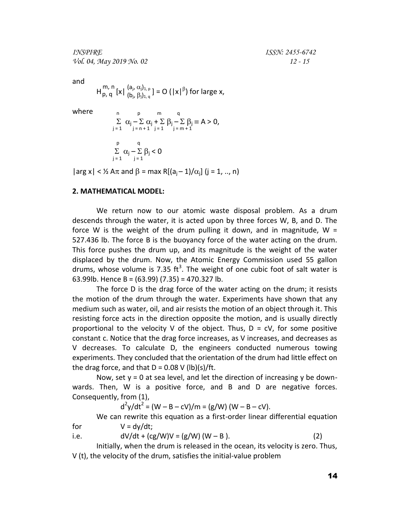*INSPIRE ISSN: 2455-6742 Vol. 04, May 2019 No. 02 12 - 15*

and

$$
H_{p,\,q}^{m,\,n}[x]\left.\begin{array}{l} (a_j,\,\alpha_j)_{1,\,p}\\ (b_j,\,\beta_j)_{1,\,q} \end{array}\right]=O\left(\left|x\right|^{\beta}\right) \text{ for large }x,
$$

where  $n \t n$  m q

$$
\sum_{j=1}^{n} \alpha_j - \sum_{j=n+1}^{n} \alpha_j + \sum_{j=1}^{n} \beta_j - \sum_{j=m+1}^{n} \beta_j \equiv A > 0,
$$
  

$$
\sum_{j=1}^{p} \alpha_j - \sum_{j=1}^{n} \beta_j < 0
$$

 $|\arg x| < \frac{1}{2}$  A $\pi$  and  $\beta$  = max R[(a<sub>i</sub> – 1)/ $\alpha$ <sub>i</sub>] (j = 1, .., n)

# **2. MATHEMATICAL MODEL:**

We return now to our atomic waste disposal problem. As a drum descends through the water, it is acted upon by three forces W, B, and D. The force W is the weight of the drum pulling it down, and in magnitude,  $W =$ 527.436 lb. The force B is the buoyancy force of the water acting on the drum. This force pushes the drum up, and its magnitude is the weight of the water displaced by the drum. Now, the Atomic Energy Commission used 55 gallon drums, whose volume is 7.35  $\text{ft}^3$ . The weight of one cubic foot of salt water is 63.99lb. Hence B = (63.99) (7.35) = 470.327 lb.

The force D is the drag force of the water acting on the drum; it resists the motion of the drum through the water. Experiments have shown that any medium such as water, oil, and air resists the motion of an object through it. This resisting force acts in the direction opposite the motion, and is usually directly proportional to the velocity V of the object. Thus,  $D = cV$ , for some positive constant c. Notice that the drag force increases, as V increases, and decreases as V decreases. To calculate D, the engineers conducted numerous towing experiments. They concluded that the orientation of the drum had little effect on the drag force, and that  $D = 0.08$  V (lb)(s)/ft.

Now, set  $y = 0$  at sea level, and let the direction of increasing  $y$  be downwards. Then, W is a positive force, and B and D are negative forces. Consequently, from (1),

 $d^2y/dt^2 = (W - B - cV)/m = (g/W) (W - B - cV).$ 

We can rewrite this equation as a first-order linear differential equation for  $V = dy/dt$ ;

i.e.  $dV/dt + (cg/W)V = (g/W) (W - B).$  (2)

Initially, when the drum is released in the ocean, its velocity is zero. Thus, V (t), the velocity of the drum, satisfies the initial-value problem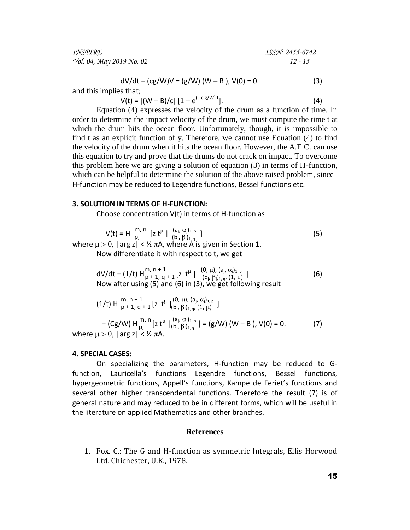*INSPIRE ISSN: 2455-6742 Vol. 04, May 2019 No. 02 12 - 15*

$$
dV/dt + (cg/W)V = (g/W) (W - B), V(0) = 0.
$$
 (3)

and this implies that;

 $V(t) = [(W - B)/c] [1 - e^{(-c g/W)t}].$  (4)

Equation (4) expresses the velocity of the drum as a function of time. In order to determine the impact velocity of the drum, we must compute the time t at which the drum hits the ocean floor. Unfortunately, though, it is impossible to find t as an explicit function of y. Therefore, we cannot use Equation (4) to find the velocity of the drum when it hits the ocean floor. However, the A.E.C. can use this equation to try and prove that the drums do not crack on impact. To overcome this problem here we are giving a solution of equation (3) in terms of H-function, which can be helpful to determine the solution of the above raised problem, since H-function may be reduced to Legendre functions, Bessel functions etc.

# **3. SOLUTION IN TERMS OF H-FUNCTION:**

Choose concentration V(t) in terms of H-function as

| $V(t) = H \begin{array}{c} m, n \\ p, \end{array} [z t^{\mu}   \begin{array}{c} (a_{j}, \alpha_{j})_{1, p} \\ (b_{i}, \beta_{i})_{1, q} \end{array}]$ |  |
|-------------------------------------------------------------------------------------------------------------------------------------------------------|--|
| where $u > 0$ Larg $z \mid z \nrightarrow \pi \Delta$ where $\Delta$ is given in Section 1                                                            |  |
|                                                                                                                                                       |  |

where  $\mu > 0$ ,  $|\arg z| < 1$   $\pi$ A, where A is given in Section 1.

Now differentiate it with respect to t, we get

dV/dt = (1/t) H<sup>m, n + 1</sup><sub>p + 1, q + 1</sub> [z t<sup>µ</sup> | 
$$
\begin{array}{c} (0, µ), (a_j, \alpha_j)_{1, p} \\ (b_j, \beta_j)_{1, q}, (1, µ) \end{array}
$$
]  
Now after using (5) and (6) in (3), we get following result

$$
(1/t) H_{p+1, q+1}^{m, n+1} [z t^{\mu}]_{(b_{j}, \beta_{j})_{1, q}}^{(0, \mu), (a_{j}, \alpha_{j})_{1, p}} ]
$$
  
+ 
$$
(Cg/W) H_{p}^{m, n} [z t^{\mu}]_{(b_{i}, \beta_{j})_{1, q}}^{(a_{j}, \alpha_{j})_{1, p}} ] = (g/W) (W - B), V(0) = 0.
$$
 (7)

where  $\mu > 0$ , |arg z| <  $\frac{1}{2}$   $\pi$ A.  $\leq$ 

# **4. SPECIAL CASES:**

On specializing the parameters, H-function may be reduced to Gfunction, Lauricella's functions Legendre functions, Bessel functions, hypergeometric functions, Appell's functions, Kampe de Feriet's functions and several other higher transcendental functions. Therefore the result (7) is of general nature and may reduced to be in different forms, which will be useful in the literature on applied Mathematics and other branches.

### **References**

1. Fox, C.: The G and H-function as symmetric Integrals, Ellis Horwood Ltd. Chichester, U.K., 1978.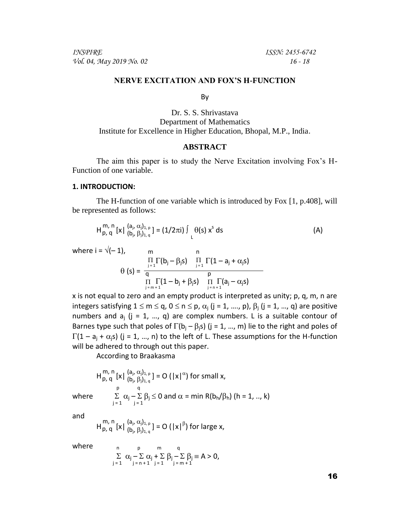*INSPIRE ISSN: 2455-6742 Vol. 04, May 2019 No. 02 16 - 18*

# **NERVE EXCITATION AND FOX'S H-FUNCTION**

By

Dr. S. S. Shrivastava Department of Mathematics Institute for Excellence in Higher Education, Bhopal, M.P., India.

# **ABSTRACT**

The aim this paper is to study the Nerve Excitation involving Fox's H-Function of one variable.

#### **1. INTRODUCTION:**

The H-function of one variable which is introduced by Fox [1, p.408], will be represented as follows:

$$
H_{p, q}^{m, n}[x]_{(b_j, \beta_j)_{1, q}}^{(a_j, \alpha_j)_{1, p}}] = (1/2\pi i) \int_{L} \theta(s) x^s ds
$$
 (A)

where  $i = \sqrt{(-1)}$ , m

$$
\theta(s) = \frac{\prod\limits_{j=1}^{n} \Gamma(b_j - \beta_j s) - \prod\limits_{j=1}^{n} \Gamma(1 - a_j + \alpha_j s)}{\prod\limits_{j=m+1}^{n} \Gamma(1 - b_j + \beta_j s) - \prod\limits_{j=n+1}^{n} \Gamma(a_j - \alpha_j s)}
$$

x is not equal to zero and an empty product is interpreted as unity; p, q, m, n are integers satisfying  $1 \le m \le q$ ,  $0 \le n \le p$ ,  $\alpha_i$  (j = 1, …., p),  $\beta_i$  (j = 1, …, q) are positive numbers and  $a_j$  (j = 1, ..., q) are complex numbers. L is a suitable contour of Barnes type such that poles of  $\Gamma(b_i - \beta_i s)$  (j = 1, ..., m) lie to the right and poles of  $\Gamma(1 - a_i + \alpha_i s)$  (j = 1, …, n) to the left of L. These assumptions for the H-function will be adhered to through out this paper.

According to Braakasma

$$
H_{p, q}^{m, n}[x] \begin{cases} (a_j, \alpha_j)_{1, p} \\ (b_j, \beta_j)_{1, q} \end{cases} = O(|x|^{\alpha}) \text{ for small } x,
$$
  
where 
$$
\sum_{j=1}^{p} \alpha_j - \sum_{j=1}^{q} \beta_j \le 0 \text{ and } \alpha = \min R(b_h/\beta_h) \text{ (}h = 1, ..., k \text{)}
$$

and

$$
H_{p,\; q}^{m,\; n}\left[x\,|\begin{smallmatrix}(a_{j},\; \alpha_{j})_{1,\; p}\\(b_{j},\; \beta_{j})_{1,\; q}\end{smallmatrix}\right]=O\left(\,|\,x\,|^{\beta}\right) \text{ for large } x,
$$

where  $n \times n$  m q

$$
\sum_{j=1}^{n} \alpha_j - \sum_{j=n+1}^{p} \alpha_j + \sum_{j=1}^{m} \beta_j - \sum_{j=m+1}^{q} \beta_j \equiv A > 0,
$$

16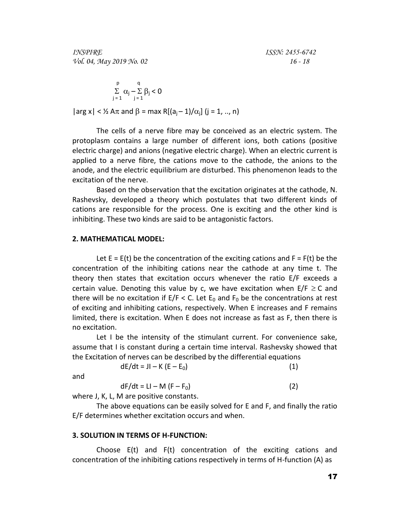*INSPIRE ISSN: 2455-6742 Vol. 04, May 2019 No. 02 16 - 18*

 p q  $\sum_{j=1}^{\infty} \alpha_j - \sum_{j=1}^{\infty} \beta_j < 0$ 

 $|\arg x| < \frac{1}{2}$  A $\pi$  and  $\beta$  = max R[(a<sub>i</sub> – 1)/ $\alpha$ <sub>i</sub>] (j = 1, .., n)

The cells of a nerve fibre may be conceived as an electric system. The protoplasm contains a large number of different ions, both cations (positive electric charge) and anions (negative electric charge). When an electric current is applied to a nerve fibre, the cations move to the cathode, the anions to the anode, and the electric equilibrium are disturbed. This phenomenon leads to the excitation of the nerve.

Based on the observation that the excitation originates at the cathode, N. Rashevsky, developed a theory which postulates that two different kinds of cations are responsible for the process. One is exciting and the other kind is inhibiting. These two kinds are said to be antagonistic factors.

# **2. MATHEMATICAL MODEL:**

Let  $E = E(t)$  be the concentration of the exciting cations and  $F = F(t)$  be the concentration of the inhibiting cations near the cathode at any time t. The theory then states that excitation occurs whenever the ratio E/F exceeds a certain value. Denoting this value by c, we have excitation when  $E/F \geq C$  and there will be no excitation if  $E/F < C$ . Let  $E_0$  and  $F_0$  be the concentrations at rest of exciting and inhibiting cations, respectively. When E increases and F remains limited, there is excitation. When E does not increase as fast as F, then there is no excitation.

Let I be the intensity of the stimulant current. For convenience sake, assume that I is constant during a certain time interval. Rashevsky showed that the Excitation of nerves can be described by the differential equations

 $dE/dt = J - K (E - E_0)$  (1)

and

 $dF/dt = LI - M (F - F_0)$  (2)

where J, K, L, M are positive constants.

The above equations can be easily solved for E and F, and finally the ratio E/F determines whether excitation occurs and when.

# **3. SOLUTION IN TERMS OF H-FUNCTION:**

Choose E(t) and F(t) concentration of the exciting cations and concentration of the inhibiting cations respectively in terms of H-function (A) as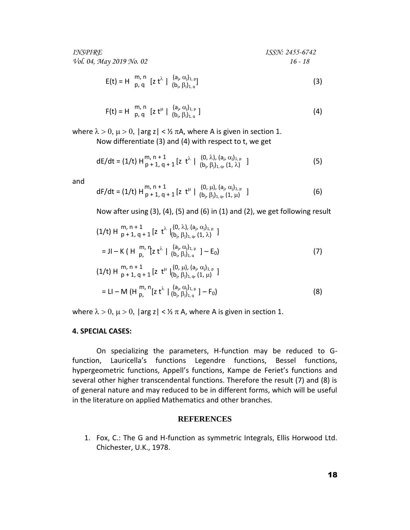*INSPIRE ISSN: 2455-6742 Vol. 04, May 2019 No. 02 16 - 18*

$$
E(t) = H \sum_{p, q}^{m, n} [z t^{\lambda} | \frac{(a_{j}, \alpha_{j})_{1, p}}{(b_{i}, \beta_{i})_{1, q}}]
$$
(3)

$$
F(t) = H \bigg|_{p, q}^{m, n} [z t^{\mu} |_{(b_{i}, \beta_{i})_{1, q}}^{(a_{j}, \alpha_{j})_{1, p}}]
$$
(4)

where  $\lambda > 0$ ,  $\mu > 0$ ,  $|\arg z| < \frac{1}{2} \pi A$ , where A is given in section 1.

Now differentiate (3) and (4) with respect to t, we get

$$
dE/dt = (1/t) H_{p+1, q+1}^{m, n+1} [z \ t^{\lambda} \mid \begin{array}{c} (0, \lambda), (a_{j}, \alpha_{j})_{1, p} \\ (b_{j}, \beta_{j})_{1, q}, (1, \lambda) \end{array}] \tag{5}
$$

and

dF/dt = (1/t) H<sup>m, n+1</sup><sub>p+1, q+1</sub> [z t<sup>µ</sup> | 
$$
\begin{array}{c} (0, \mu), (a_j, \alpha_j)_{1, p} \\ (b_j, \beta_j)_{1, q}, (1, \mu) \end{array}
$$
] (6)

Now after using (3), (4), (5) and (6) in (1) and (2), we get following result

$$
(1/t) H_{p+1, q+1}^{m, n+1} [z t^{\lambda} |_{(b_{j}, \beta_{j})_{1, q}}^{(0, \lambda), (a_{j}, \alpha_{j})_{1, p}}] = JI - K (H_{p,}^{m, n} [z t^{\lambda} |_{(b_{i}, \beta_{i})_{1, q}}^{(a_{j}, \alpha_{j})_{1, p}}] - E_{0})
$$
\n
$$
(1/t) H_{p+1, q+1}^{m, n+1} [z t^{\mu} |_{(b_{j}, \beta_{j})_{1, q}}^{(0, \mu), (a_{j}, \alpha_{j})_{1, p}}] = LI - M (H_{p,}^{m, n} [z t^{\lambda} |_{(b_{i}, \beta_{j})_{1, q}}^{(a_{j}, \alpha_{j})_{1, p}}] - F_{0})
$$
\n(8)

where  $\lambda > 0$ ,  $\mu > 0$ ,  $|\arg z| < 2$   $\pi$  A, where A is given in section 1.

# **4. SPECIAL CASES:**

On specializing the parameters, H-function may be reduced to Gfunction, Lauricella's functions Legendre functions, Bessel functions, hypergeometric functions, Appell's functions, Kampe de Feriet's functions and several other higher transcendental functions. Therefore the result (7) and (8) is of general nature and may reduced to be in different forms, which will be useful in the literature on applied Mathematics and other branches.

# **REFERENCES**

1. Fox, C.: The G and H-function as symmetric Integrals, Ellis Horwood Ltd. Chichester, U.K., 1978.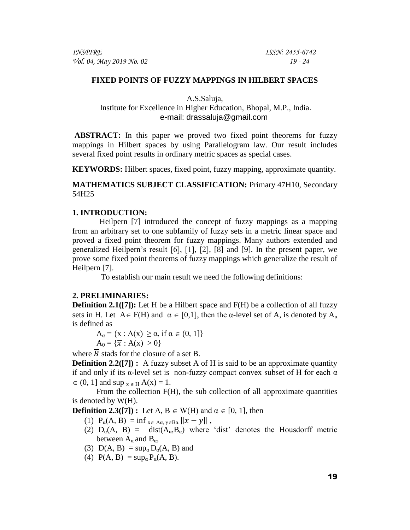*INSPIRE ISSN: 2455-6742 Vol. 04, May 2019 No. 02 19 - 24*

### **FIXED POINTS OF FUZZY MAPPINGS IN HILBERT SPACES**

A.S.Saluja,

Institute for Excellence in Higher Education, Bhopal, M.P., India. e-mail: drassaluja@gmail.com

**ABSTRACT:** In this paper we proved two fixed point theorems for fuzzy mappings in Hilbert spaces by using Parallelogram law. Our result includes several fixed point results in ordinary metric spaces as special cases.

**KEYWORDS:** Hilbert spaces, fixed point, fuzzy mapping, approximate quantity.

# **MATHEMATICS SUBJECT CLASSIFICATION:** Primary 47H10, Secondary 54H25

#### **1. INTRODUCTION:**

Heilpern [7] introduced the concept of fuzzy mappings as a mapping from an arbitrary set to one subfamily of fuzzy sets in a metric linear space and proved a fixed point theorem for fuzzy mappings. Many authors extended and generalized Heilpern's result [6], [1], [2], [8] and [9]. In the present paper, we prove some fixed point theorems of fuzzy mappings which generalize the result of Heilpern [7].

To establish our main result we need the following definitions:

# **2. PRELIMINARIES:**

**Definition 2.1([7]):** Let H be a Hilbert space and F(H) be a collection of all fuzzy sets in H. Let  $A \in F(H)$  and  $\alpha \in [0,1]$ , then the  $\alpha$ -level set of A, is denoted by  $A_{\alpha}$ is defined as

 $A_{\alpha}$  = {x : A(x)  $\geq \alpha$ , if  $\alpha \in (0, 1]$ }  $A_0 = {\overline{x} : A(x) > 0}$ 

where  $\overline{B}$  stads for the closure of a set B.

**Definition 2.2([7]) :** A fuzzy subset A of H is said to be an approximate quantity if and only if its  $\alpha$ -level set is non-fuzzy compact convex subset of H for each  $\alpha$  $\in (0, 1]$  and sup  $_{x \in H} A(x) = 1$ .

From the collection F(H), the sub collection of all approximate quantities is denoted by W(H).

**Definition 2.3([7]) :** Let A, B  $\in$  W(H) and  $\alpha \in$  [0, 1], then

(1)  $P_{\alpha}(A, B) = \inf_{x \in A\alpha, y \in Ba} ||x - y||$ ,

- (2)  $D_{\alpha}(A, B) = \text{dist}(A_{\alpha}, B_{\alpha})$  where 'dist' denotes the Housdorff metric between  $A_{\alpha}$  and  $B_{\alpha}$ ,
- (3)  $D(A, B) = \sup_{\alpha} D_{\alpha}(A, B)$  and
- (4)  $P(A, B) = \sup_{\alpha} P_{\alpha}(A, B)$ .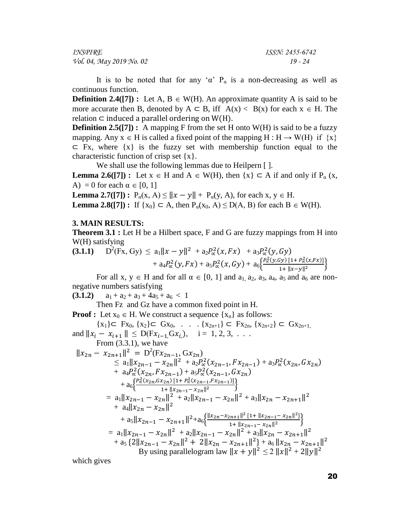| INSPIRE                         | <i>ISSN: 2455-6742</i> |
|---------------------------------|------------------------|
| <i>Vol.</i> 04, May 2019 No. 02 | 19 - 24                |

It is to be noted that for any ' $\alpha$ ' P<sub>a</sub> is a non-decreasing as well as continuous function.

**Definition 2.4([7]) :** Let A,  $B \in W(H)$ . An approximate quantity A is said to be more accurate then B, denoted by  $A \subset B$ , iff  $A(x) < B(x)$  for each  $x \in H$ . The relation  $\subset$  induced a parallel ordering on W(H).

**Definition 2.5([7]) <b>:** A mapping F from the set H onto W(H) is said to be a fuzzy mapping. Any  $x \in H$  is called a fixed point of the mapping  $H : H \to W(H)$  if  $\{x\}$  $\subset$  Fx, where  $\{x\}$  is the fuzzy set with membership function equal to the characteristic function of crisp set  $\{x\}$ .

We shall use the following lemmas due to Heilpern [ ]. **Lemma 2.6([7]) :** Let  $x \in H$  and  $A \in W(H)$ , then  $\{x\} \subset A$  if and only if  $P_{\alpha}(x,$ A) = 0 for each  $\alpha \in [0, 1]$ 

**Lemma 2.7([7]) :**  $P_{\alpha}(x, A) \le ||x - y|| + P_{\alpha}(y, A)$ , for each  $x, y \in H$ .

**Lemma 2.8([7]) :** If  $\{x_0\} \subset A$ , then  $P_\alpha(x_0, A) \leq D(A, B)$  for each  $B \in W(H)$ .

# **3. MAIN RESULTS:**

**Theorem 3.1 :** Let H be a Hilbert space, F and G are fuzzy mappings from H into W(H) satisfying

$$
\begin{array}{lll} \textbf{(3.1.1)} & \text{D}^2(\text{Fx},\text{Gy}) \leq a_1 \|x-y\|^2 + a_2 P_\alpha^2(x,Fx) & + a_3 P_\alpha^2(y,Gy) \\ & + a_4 P_\alpha^2(y,Fx) + a_5 P_\alpha^2(x,Gy) + a_6 \Big\{ \frac{P_\alpha^2(y,Gy) \left[1+P_\alpha^2(x,Fx)\right]}{1+\|x-y\|^2} \Big\} \end{array}
$$

For all x,  $y \in H$  and for all  $\alpha \in [0, 1]$  and  $a_1, a_2, a_3, a_4, a_5$  and  $a_6$  are nonnegative numbers satisfying

**(3.1.2)**  $a_1 + a_2 + a_3 + 4a_5 + a_6 < 1$ 

Then Fz and Gz have a common fixed point in H.

**Proof :** Let  $x_0 \in H$ . We construct a sequence  $\{x_n\}$  as follows:

$$
\{x_1\} \subset Fx_0, \{x_2\} \subset Gx_0, \ldots, \{x_{2n+1}\} \subset Fx_{2n}, \{x_{2n+2}\} \subset Gx_{2n+1},
$$
  
and  $||x_i - x_{i+1}|| \le D(Fx_{i-1}, Gx_i), \quad i = 1, 2, 3, \ldots$ 

From (3.3.1), we have

$$
||x_{2n} - x_{2n+1}||^2 = D^2(Fx_{2n-1}, Gx_{2n})
$$
  
\n
$$
\leq a_1 ||x_{2n-1} - x_{2n}||^2 + a_2 P_\infty^2(x_{2n-1}, Fx_{2n-1}) + a_3 P_\infty^2(x_{2n}, Gx_{2n})
$$
  
\n
$$
+ a_4 P_\infty^2(x_{2n}, Fx_{2n-1}) + a_5 P_\infty^2(x_{2n-1}, Gx_{2n})
$$
  
\n
$$
+ a_6 \Big\{ \frac{P_\infty^2(x_{2n}, Gx_{2n}) [1 + P_\infty^2(x_{2n-1}, Fx_{2n-1})]}{1 + ||x_{2n-1} - x_{2n}||^2} \Big\}
$$
  
\n
$$
= a_1 ||x_{2n-1} - x_{2n}||^2 + a_2 ||x_{2n-1} - x_{2n}||^2 + a_3 ||x_{2n} - x_{2n+1}||^2
$$
  
\n
$$
+ a_4 ||x_{2n} - x_{2n}||^2
$$
  
\n
$$
+ a_5 ||x_{2n-1} - x_{2n+1}||^2 + a_6 \Big\{ \frac{||x_{2n} - x_{2n+1}||^2 [1 + ||x_{2n-1} - x_{2n}||^2]}{1 + ||x_{2n-1} - x_{2n}||^2} \Big\}
$$
  
\n
$$
= a_1 ||x_{2n-1} - x_{2n}||^2 + a_2 ||x_{2n-1} - x_{2n}||^2 + a_3 ||x_{2n} - x_{2n+1}||^2
$$
  
\n
$$
+ a_5 \{2 ||x_{2n-1} - x_{2n}||^2 + 2 ||x_{2n} - x_{2n+1}||^2 \} + a_6 ||x_{2n} - x_{2n+1}||^2
$$
  
\nBy using parallelogram law  $||x + y||^2 \leq 2 ||x||^2 + 2||y||^2$ 

which gives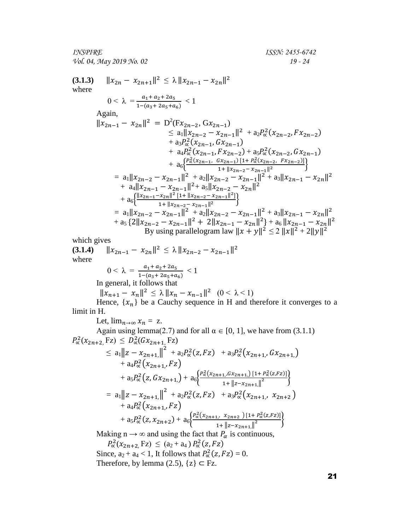*INSPIRE ISSN: 2455-6742 Vol. 04, May 2019 No. 02 19 - 24*

**(3.1.3)**  $||x_{2n} - x_{2n+1}||^2 \le \lambda ||x_{2n-1} - x_{2n}||^2$ where  $0 < \lambda = \frac{a_1 + a_2 + 2a_5}{1 - (a_3 + 2a_5 + a_6)} < 1$ Again,  $||x_{2n-1} - x_{2n}||^2 = D^2(Fx_{2n-2}, Gx_{2n-1})$  $\leq a_1 \|x_{2n-2} - x_{2n-1}\|^2 + a_2 P_\alpha^2(x_{2n-2}, F x_{2n-2})$ +  $a_3 P_\alpha^2(x_{2n-1}, Gx_{2n-1})$  $+$   $a_4P_c$  $x^{2}(x_{2n-1}, Fx_{2n-2}) + a_{5}P_{\alpha}^{2}(x_{2n-2}, Gx_{2n-1})$  $+ a_6 \left[ \frac{P_\alpha^2 (x_{2n-1}, 6x_{2n-1}) [1 + P_\alpha^2 (x_{2n-2}, 5x_{2n-2})]}{1 + \frac{1}{2} \left[ 1 + \frac{P_\alpha^2 (x_{2n-1}, 5x_{2n-2})}{1 + \frac{P_\alpha^2 (x_{2n-1}, 5x_{2n-2})}{1 + \frac{P_\alpha^2 (x_{2n-1}, 5x_{2n-1})}{1 + \frac{P_\alpha^2 (x_{2n-1}, 5x_{2n-1})}{1 + \frac{P_\alpha^2 (x_{2n-1}, 5x_{2n-1})}{1 + \frac{P_\alpha$  $\frac{1 \cdot \frac{1}{1} \cdot \frac{1 + r_{\alpha}(x_{2n-2}, r_{2n-2})}{1 + \|x_{2n-2} - x_{2n-1}\|^2}$  $= a_1 ||x_{2n-2} - x_{2n-1}||^2 + a_2 ||x_{2n-2} - x_{2n-1}||^2 + a_3 ||x_{2n-1} - x_{2n}||^2$ +  $a_4||x_{2n-1} - x_{2n-1}||^2$  +  $a_5||x_{2n-2} - x_{2n}||^2$  $+ a_6 \frac{\|x_{2n-1} - x_{2n}\|^2 [1 + \|x_{2n-2} - x_{2n-1}\|^2]}{1 + \|x_{2n-1} - x_{2n}\|^2}$  $\frac{2n\ln |1 + \ln 2n - 2 - \ln 2n - 1|}{1 + \|x_{2n-2} - x_{2n-1}\|^2}$  $= a_1 ||x_{2n-2} - x_{2n-1}||^2 + a_2 ||x_{2n-2} - x_{2n-1}||^2 + a_3 ||x_{2n-1} - x_{2n}||^2$ + a<sub>5</sub>  $\{2\|x_{2n-2} - x_{2n-1}\|^2 + 2\|x_{2n-1} - x_{2n}\|^2 + a_6\|x_{2n-1} - x_{2n}\|^2$ By using parallelogram law  $||x + y||^2 \le 2 ||x||^2 + 2||y||^2$ 

which gives

**(3.1.4)**  $||x_{2n-1} - x_{2n}||^2 \le \lambda ||x_{2n-2} - x_{2n-1}||^2$ where  $a + a + 2a$ 

$$
0 < \lambda = \frac{a_1 + a_2 + 2a_5}{1 - (a_3 + 2a_5 + a_6)} < 1
$$

In general, it follows that

 $||x_{n+1} - x_n||^2 \leq \lambda ||x_n - x_{n-1}||^2 \quad (0 < \lambda < 1)$ 

Hence,  $\{x_n\}$  be a Cauchy sequence in H and therefore it converges to a limit in H.

Let,  $\lim_{n\to\infty} x_n = z$ .

Again using lemma(2.7) and for all  $\alpha \in [0, 1]$ , we have from (3.1.1)  $P_{\alpha}^{2}(x_{2n+2}, Fz) \leq D_{\alpha}^{2}(Gx_{2n+1}, Fz)$ 

$$
\leq a_{1} \| z - x_{2n+1,} \|^{2} + a_{2} P_{\alpha}^{2}(z, Fz) + a_{3} P_{\alpha}^{2}(x_{2n+1,} Gx_{2n+1,})
$$
  
+  $a_{4} P_{\alpha}^{2}(x_{2n+1,} Fz)$   
+  $a_{5} P_{\alpha}^{2}(z, Gx_{2n+1,}) + a_{6} \Big\{ \frac{P_{\alpha}^{2}(x_{2n+1,} Gx_{2n+1,}) [1 + P_{\alpha}^{2}(z, Fz)]}{1 + \|z - x_{2n+1,} \|^{2}} \Big\}$   
=  $a_{1} \| z - x_{2n+1,} \|^{2} + a_{2} P_{\alpha}^{2}(z, Fz) + a_{3} P_{\alpha}^{2}(x_{2n+1,} x_{2n+2})$   
+  $a_{4} P_{\alpha}^{2}(x_{2n+1,} Fz)$   
+  $a_{5} P_{\alpha}^{2}(z, x_{2n+2}) + a_{6} \Big\{ \frac{P_{\alpha}^{2}(x_{2n+1,} x_{2n+2}) [1 + P_{\alpha}^{2}(z, Fz)]}{1 + \|z - x_{2n+1,} \|^{2}} \Big\}$ 

Making n  $\rightarrow \infty$  and using the fact that  $P_{\alpha}$  is continuous,

 $P_{\alpha}^{2}(x_{2n+2}, Fz) \leq (a_{2}+a_{4}) P_{\alpha}^{2}(z, Fz)$ Since,  $a_2 + a_4 < 1$ , It follows that  $P_\alpha^2(z, Fz) = 0$ . Therefore, by lemma (2.5),  $\{z\} \subset Fz$ .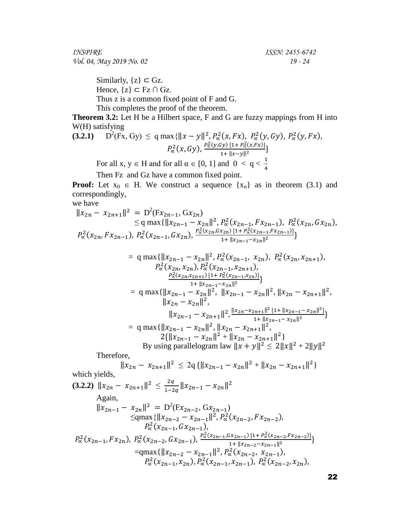*INSPIRE ISSN: 2455-6742 Vol. 04, May 2019 No. 02 19 - 24*

Similarly,  $\{z\} \subset Gz$ . Hence,  $\{z\} \subset Fz \cap Gz$ . Thus z is a common fixed point of F and G. This completes the proof of the theorem.

**Theorem 3.2:** Let H be a Hilbert space, F and G are fuzzy mappings from H into W(H) satisfying

(3.2.1) 
$$
D^{2}(Fx, Gy) \leq q \max\{\|x - y\|^{2}, P_{\alpha}^{2}(x, Fx), P_{\alpha}^{2}(y, Gy), P_{\alpha}^{2}(y, Fx), P_{\alpha}^{2}(x, Fx)\} + P_{\alpha}^{2}(x, Gy), \frac{P_{\alpha}^{2}(y, Gy) [1 + P_{\alpha}^{2}(x, Fx)]}{1 + \|x - y\|^{2}}\}
$$
  
For all x, y \in H and for all  $\alpha \in [0, 1]$  and  $0 < q < \frac{1}{4}$ 

Then Fz and Gz have a common fixed point.

**Proof:** Let  $x_0 \in H$ . We construct a sequence  $\{x_n\}$  as in theorem (3.1) and correspondingly,

we have

$$
||x_{2n} - x_{2n+1}||^2 = D^2(Fx_{2n-1}, Gx_{2n})
$$
  
\n
$$
\leq q \max\{||x_{2n-1} - x_{2n}||^2, P^2(x_{2n-1}, Fx_{2n-1}), P^2(x_{2n}, Gx_{2n}),
$$
  
\n
$$
P^2(\mathbf{x}_{2n}, Fx_{2n-1}), P^2(\mathbf{x}_{2n-1}, Gx_{2n}), \frac{P^2(\mathbf{x}_{2n}, Gx_{2n})[1 + P^2(\mathbf{x}_{2n-1}, Fx_{2n-1})]}{1 + ||x_{2n-1} - x_{2n}||^2}\}
$$

$$
= q \max\{\|x_{2n-1} - x_{2n}\|^2, P_{\alpha}^2(x_{2n-1}, x_{2n}), P_{\alpha}^2(x_{2n}, x_{2n+1}),
$$
  
\n
$$
P_{\alpha}^2(x_{2n}, x_{2n}), P_{\alpha}^2(x_{2n-1}, x_{2n+1}),
$$
  
\n
$$
\frac{P_{\alpha}^2(x_{2n}, x_{2n+1})[1 + P_{\alpha}^2(x_{2n-1}, x_{2n})]}{1 + \|x_{2n-1} - x_{2n}\|^2} \}
$$
  
\n
$$
= q \max\{\|x_{2n-1} - x_{2n}\|^2, \|x_{2n-1} - x_{2n}\|^2, \|x_{2n} - x_{2n+1}\|^2\}
$$
  
\n
$$
\|x_{2n} - x_{2n}\|^2,
$$
  
\n
$$
\|x_{2n-1} - x_{2n+1}\|^2, \frac{\|x_{2n} - x_{2n+1}\|^2 [1 + \|x_{2n-1} - x_{2n}\|^2]}{1 + \|x_{2n-1} - x_{2n}\|^2} \}
$$
  
\n
$$
= q \max\{\|x_{2n-1} - x_{2n}\|^2, \|x_{2n} - x_{2n+1}\|^2,
$$
  
\n
$$
2\{\|x_{2n-1} - x_{2n}\|^2 + \|x_{2n} - x_{2n+1}\|^2\}
$$
  
\nBy using parallelogram law  $\|x + y\|^2 \le 2\|x\|^2 + 2\|y\|^2$ 

Therefore,

$$
||x_{2n} - x_{2n+1}||^2 \le 2q \{ ||x_{2n-1} - x_{2n}||^2 + ||x_{2n} - x_{2n+1}||^2 \}
$$
  
which yields,

which yields, **(3.2.2)**  $||x_{2n} - x_{2n+1}||^2 \le \frac{2q}{1-2q} ||x_{2n-1} - x_{2n}||^2$ Again,  $||x_{2n-1} - x_{2n}||^2 = D^2(Fx_{2n-2}, Gx_{2n-1})$  $\leq$ qmax { $||x_{2n-2} - x_{2n-1}||^2$ ,  $P^2_{\propto}$   $(x_{2n-2}, Fx_{2n-2})$ ,  $P_{\alpha}^{2}(x_{2n-1}, Gx_{2n-1}),$  $P_{\alpha}^{2}(x_{2n-1}, Fx_{2n}), P_{\alpha}^{2}(x_{2n-2}, Gx_{2n-1}), \frac{P_{\alpha}^{2}(x_{2n-1}, Gx_{2n-1})}{1 + P_{\alpha}^{2}(x_{2n-2}, Fx_{2n-2})}$  $\frac{n \lambda_{2n-1} [1 + P_{\alpha}(x_{2n-2}, r x_{2n-2})]}{1 + ||x_{2n-2} - x_{2n-1}||^2}$  $=$ qmax{ $\|x_{2n-2} - x_{2n-1}\|^2$ ,  $P_\alpha^2(x_{2n-2}, x_{2n-1})$ ,  $P_{\alpha}^{2}(x_{2n-1},x_{2n}), P_{\alpha}^{2}(x_{2n-1},x_{2n-1}), P_{\alpha}^{2}(x_{2n-2},x_{2n}),$ 

,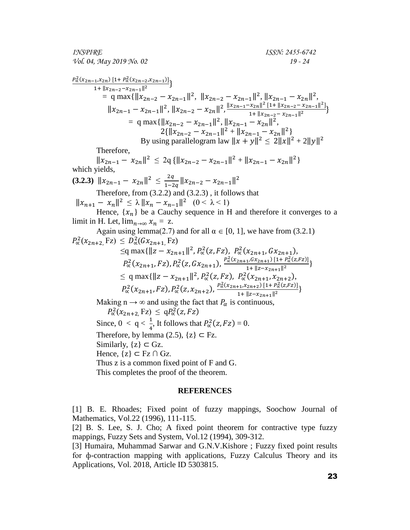*INSPIRE ISSN: 2455-6742 Vol. 04, May 2019 No. 02 19 - 24*

$$
\frac{P_6^2(x_{2n-1},x_{2n})[1+P_6^2(x_{2n-2},x_{2n-1})]}{1+||x_{2n-2}-x_{2n-1}||^2}, ||x_{2n-2}-x_{2n-1}||^2, ||x_{2n-1}-x_{2n}||^2, ||x_{2n-1}-x_{2n}||^2, ||x_{2n-2}-x_{2n-1}||^2, ||x_{2n-2}-x_{2n}||^2, ||x_{2n-2}-x_{2n-1}||^2, ||x_{2n-2}-x_{2n-1}||^2, ||x_{2n-2}-x_{2n-1}||^2, ||x_{2n-2}-x_{2n-1}||^2, ||x_{2n-1}-x_{2n}||^2, ||x_{2n-1}-x_{2n}||^2, ||x_{2n-2}-x_{2n-1}||^2, ||x_{2n-1}-x_{2n}||^2, ||x_{2n-1}-x_{2n}||^2, ||x_{2n-1}-x_{2n}||^2, ||x_{2n-1}-x_{2n}||^2 \le 2||x||^2+2||y||^2
$$
  
\nTherefore,  
\n $||x_{2n-1}-x_{2n}||^2 \le 2q \{||x_{2n-2}-x_{2n-1}||^2 + ||x_{2n-1}-x_{2n}||^2\}$   
\nwhich yields,  
\n(3.2.3)  $||x_{2n-1}-x_{2n}||^2 \le \frac{2q}{1-2q} ||x_{2n-2}-x_{2n-1}||^2$   
\nTherefore, from (3.2.2) and (3.2.3), it follows that  
\n $||x_{n+1}-x_n||^2 \le \lambda ||x_n-x_{n-1}||^2 \quad (0 < \lambda < 1)$   
\nHence,  $\{x_n\}$  be a Cauchy sequence in H and therefore it converges to a limit in H. Let,  $\lim_{n\to\infty} x_n = z$ .  
\nAgain using lemma(2.7) and for all  $\alpha \in [0, 1]$ , we have from (3.2.1)  
\n $P_6^2(x_{2n+2}, F_2) \le D_6^2(Gx_{2n+1}, F_2)$   
\n $\le q \max\{||z-x_{2n+1}||^2, P_6^2(z, F_2), P_6^2$ 

# **REFERENCES**

[1] B. E. Rhoades; Fixed point of fuzzy mappings, Soochow Journal of Mathematics, Vol.22 (1996), 111-115.

[2] B. S. Lee, S. J. Cho; A fixed point theorem for contractive type fuzzy mappings, Fuzzy Sets and System, Vol.12 (1994), 309-312.

[3] Humaira, Muhammad Sarwar and G.N.V.Kishore ; Fuzzy fixed point results for ф-contraction mapping with applications, Fuzzy Calculus Theory and its Applications, Vol. 2018, Article ID 5303815.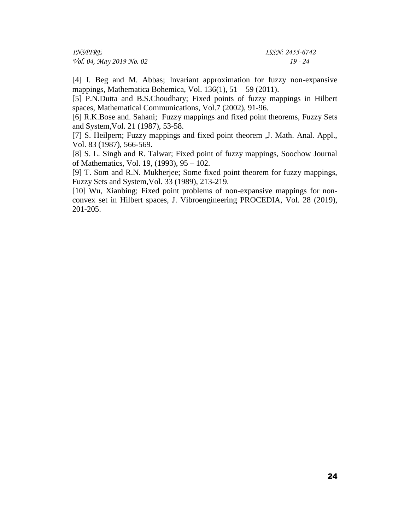| INSPIRE                  | ISSN: 2455-6742 |
|--------------------------|-----------------|
| Vol. 04, May 2019 No. 02 | 19 - 24         |

[4] I. Beg and M. Abbas; Invariant approximation for fuzzy non-expansive mappings, Mathematica Bohemica, Vol.  $136(1)$ , 51 – 59 (2011).

[5] P.N.Dutta and B.S.Choudhary; Fixed points of fuzzy mappings in Hilbert spaces, Mathematical Communications, Vol.7 (2002), 91-96.

[6] R.K.Bose and. Sahani; Fuzzy mappings and fixed point theorems, Fuzzy Sets and System,Vol. 21 (1987), 53-58.

[7] S. Heilpern; Fuzzy mappings and fixed point theorem ,J. Math. Anal. Appl., Vol. 83 (1987), 566-569.

[8] S. L. Singh and R. Talwar; Fixed point of fuzzy mappings, Soochow Journal of Mathematics, Vol. 19, (1993), 95 – 102.

[9] T. Som and R.N. Mukherjee; Some fixed point theorem for fuzzy mappings, Fuzzy Sets and System,Vol. 33 (1989), 213-219.

[10] Wu, Xianbing; Fixed point problems of non-expansive mappings for nonconvex set in Hilbert spaces, J. Vibroengineering PROCEDIA, Vol. 28 (2019), 201-205.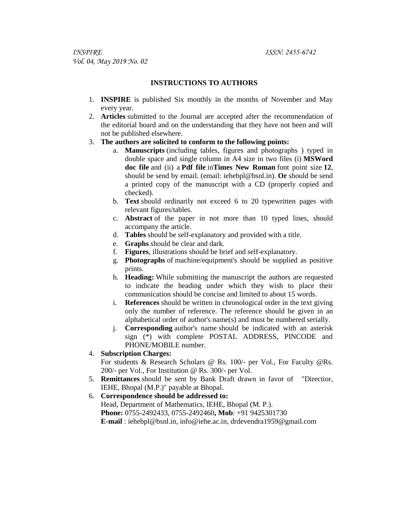# **INSTRUCTIONS TO AUTHORS**

- 1. **INSPIRE** is published Six monthly in the months of November and May every year.
- 2. **Articles** submitted to the Journal are accepted after the recommendation of the editorial board and on the understanding that they have not been and will not be published elsewhere.
- 3. **The authors are solicited to conform to the following points:**
	- a. **Manuscripts** (including tables, figures and photographs ) typed in double space and single column in A4 size in two files (i) **MSWord doc file** and (ii) a **Pdf file** in**Times New Roman** font point size **12**, should be send by email. (email: iehebpl@bsnl.in). **Or** should be send a printed copy of the manuscript with a CD (properly copied and checked).
	- b. **Text** should ordinarily not exceed 6 to 20 typewritten pages with relevant figures/tables.
	- c. **Abstract** of the paper in not more than 10 typed lines, should accompany the article.
	- d. **Tables** should be self-explanatory and provided with a title.
	- e. **Graphs** should be clear and dark.
	- f. **Figures**, illustrations should be brief and self-explanatory.
	- g. **Photographs** of machine/equipment's should be supplied as positive prints.
	- h. **Heading:** While submitting the manuscript the authors are requested to indicate the heading under which they wish to place their communication should be concise and limited to about 15 words.
	- i. **References** should be written in chronological order in the text giving only the number of reference. The reference should be given in an alphabetical order of author's name(s) and must be numbered serially.
	- j. **Corresponding** author's name should be indicated with an asterisk sign (\*) with complete POSTAL ADDRESS, PINCODE and PHONE/MOBILE number.
- 4. **Subscription Charges:**

For students & Research Scholars @ Rs. 100/- per Vol., For Faculty @Rs. 200/- per Vol., For Institution @ Rs. 300/- per Vol.

5. **Remittances** should be sent by Bank Draft drawn in favor of "Directior, IEHE, Bhopal (M.P.)" payable at Bhopal.

# 6. **Correspondence should be addressed to:**

Head, Department of Mathematics, IEHE, Bhopal (M. P.). **Phone:** 0755-2492433, 0755-2492460**, Mob**: +91 9425301730 **E-mail** : iehebpl@bsnl.in, info@iehe.ac.in, drdevendra1959@gmail.com